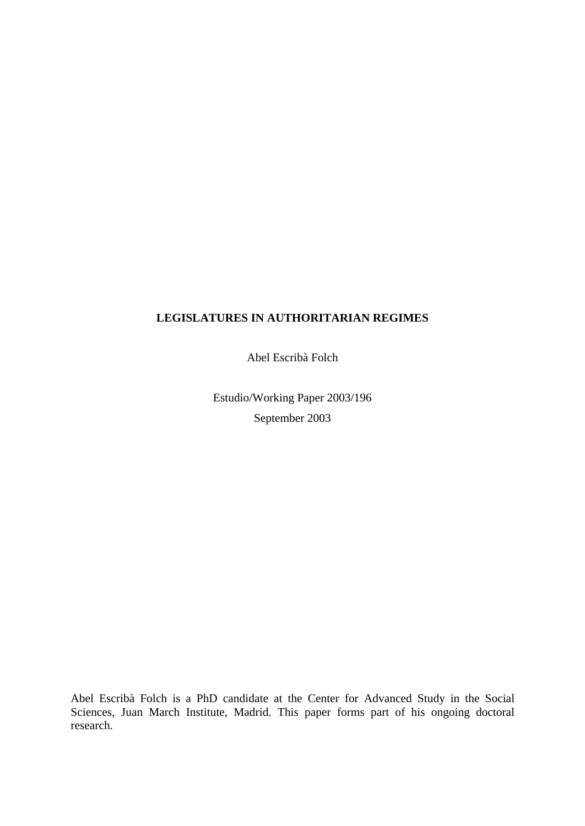# **LEGISLATURES IN AUTHORITARIAN REGIMES**

Abel Escribà Folch

Estudio/Working Paper 2003/196 September 2003

Abel Escribà Folch is a PhD candidate at the Center for Advanced Study in the Social Sciences, Juan March Institute, Madrid. This paper forms part of his ongoing doctoral research.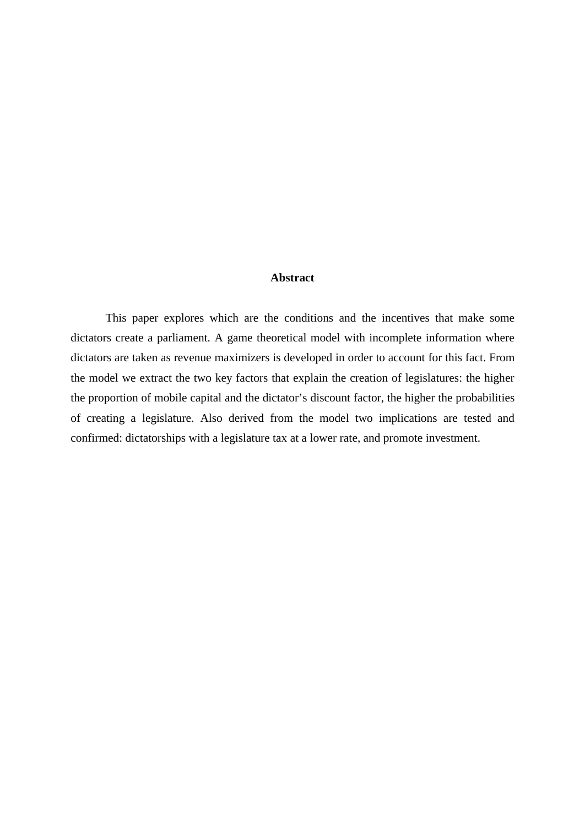#### **Abstract**

This paper explores which are the conditions and the incentives that make some dictators create a parliament. A game theoretical model with incomplete information where dictators are taken as revenue maximizers is developed in order to account for this fact. From the model we extract the two key factors that explain the creation of legislatures: the higher the proportion of mobile capital and the dictator's discount factor, the higher the probabilities of creating a legislature. Also derived from the model two implications are tested and confirmed: dictatorships with a legislature tax at a lower rate, and promote investment.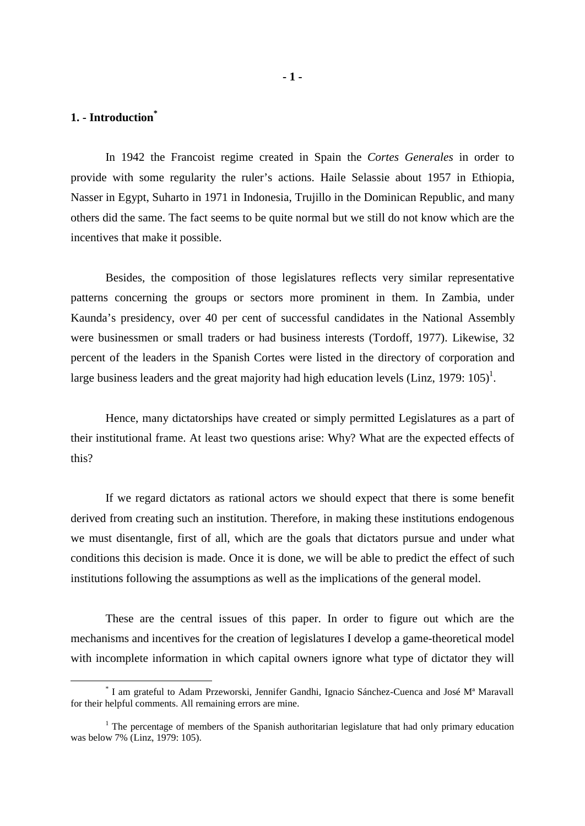## **1. - Introduction\***

 $\overline{a}$ 

In 1942 the Francoist regime created in Spain the *Cortes Generales* in order to provide with some regularity the ruler's actions. Haile Selassie about 1957 in Ethiopia, Nasser in Egypt, Suharto in 1971 in Indonesia, Trujillo in the Dominican Republic, and many others did the same. The fact seems to be quite normal but we still do not know which are the incentives that make it possible.

Besides, the composition of those legislatures reflects very similar representative patterns concerning the groups or sectors more prominent in them. In Zambia, under Kaunda's presidency, over 40 per cent of successful candidates in the National Assembly were businessmen or small traders or had business interests (Tordoff, 1977). Likewise, 32 percent of the leaders in the Spanish Cortes were listed in the directory of corporation and large business leaders and the great majority had high education levels (Linz, 1979: 105)<sup>1</sup>.

Hence, many dictatorships have created or simply permitted Legislatures as a part of their institutional frame. At least two questions arise: Why? What are the expected effects of this?

If we regard dictators as rational actors we should expect that there is some benefit derived from creating such an institution. Therefore, in making these institutions endogenous we must disentangle, first of all, which are the goals that dictators pursue and under what conditions this decision is made. Once it is done, we will be able to predict the effect of such institutions following the assumptions as well as the implications of the general model.

These are the central issues of this paper. In order to figure out which are the mechanisms and incentives for the creation of legislatures I develop a game-theoretical model with incomplete information in which capital owners ignore what type of dictator they will

<sup>\*</sup> I am grateful to Adam Przeworski, Jennifer Gandhi, Ignacio Sánchez-Cuenca and José Mª Maravall for their helpful comments. All remaining errors are mine.

<sup>&</sup>lt;sup>1</sup> The percentage of members of the Spanish authoritarian legislature that had only primary education was below 7% (Linz, 1979: 105).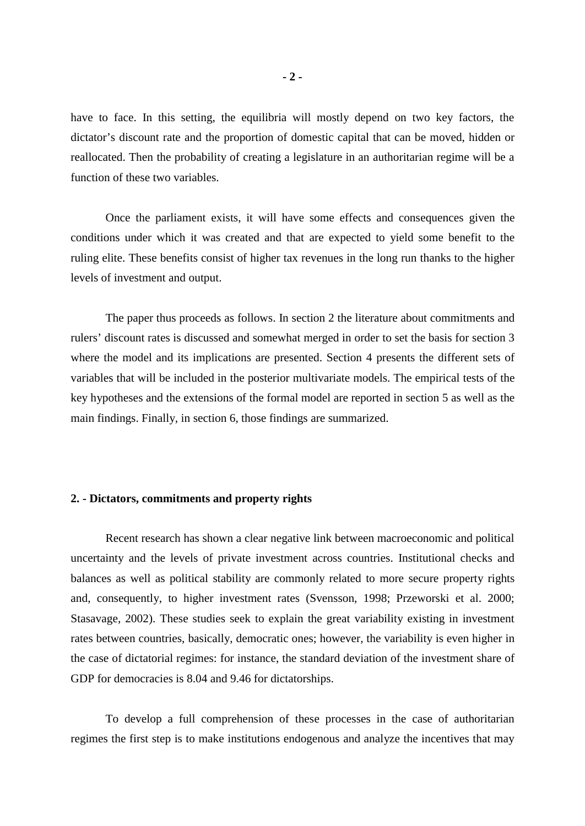have to face. In this setting, the equilibria will mostly depend on two key factors, the dictator's discount rate and the proportion of domestic capital that can be moved, hidden or reallocated. Then the probability of creating a legislature in an authoritarian regime will be a function of these two variables.

Once the parliament exists, it will have some effects and consequences given the conditions under which it was created and that are expected to yield some benefit to the ruling elite. These benefits consist of higher tax revenues in the long run thanks to the higher levels of investment and output.

The paper thus proceeds as follows. In section 2 the literature about commitments and rulers' discount rates is discussed and somewhat merged in order to set the basis for section 3 where the model and its implications are presented. Section 4 presents the different sets of variables that will be included in the posterior multivariate models. The empirical tests of the key hypotheses and the extensions of the formal model are reported in section 5 as well as the main findings. Finally, in section 6, those findings are summarized.

### **2. - Dictators, commitments and property rights**

Recent research has shown a clear negative link between macroeconomic and political uncertainty and the levels of private investment across countries. Institutional checks and balances as well as political stability are commonly related to more secure property rights and, consequently, to higher investment rates (Svensson, 1998; Przeworski et al. 2000; Stasavage, 2002). These studies seek to explain the great variability existing in investment rates between countries, basically, democratic ones; however, the variability is even higher in the case of dictatorial regimes: for instance, the standard deviation of the investment share of GDP for democracies is 8.04 and 9.46 for dictatorships.

To develop a full comprehension of these processes in the case of authoritarian regimes the first step is to make institutions endogenous and analyze the incentives that may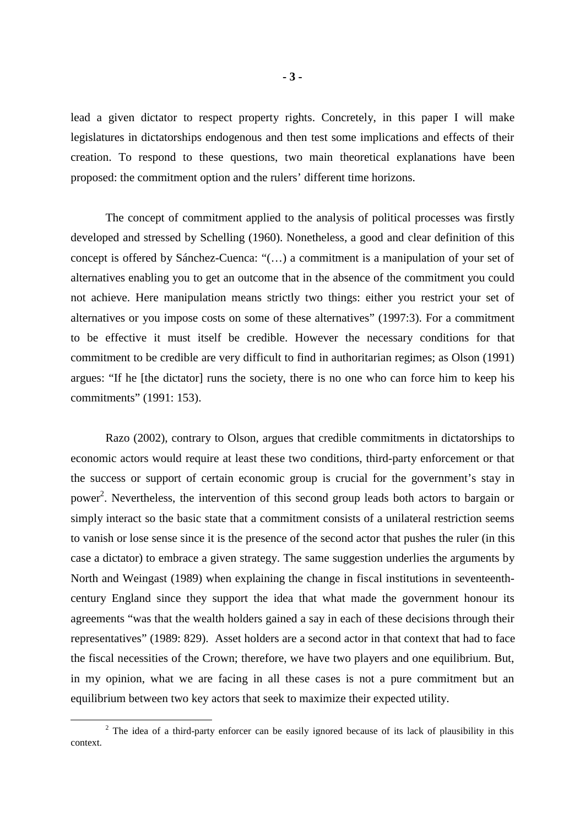lead a given dictator to respect property rights. Concretely, in this paper I will make legislatures in dictatorships endogenous and then test some implications and effects of their creation. To respond to these questions, two main theoretical explanations have been proposed: the commitment option and the rulers' different time horizons.

The concept of commitment applied to the analysis of political processes was firstly developed and stressed by Schelling (1960). Nonetheless, a good and clear definition of this concept is offered by Sánchez-Cuenca: "(…) a commitment is a manipulation of your set of alternatives enabling you to get an outcome that in the absence of the commitment you could not achieve. Here manipulation means strictly two things: either you restrict your set of alternatives or you impose costs on some of these alternatives" (1997:3). For a commitment to be effective it must itself be credible. However the necessary conditions for that commitment to be credible are very difficult to find in authoritarian regimes; as Olson (1991) argues: "If he [the dictator] runs the society, there is no one who can force him to keep his commitments" (1991: 153).

Razo (2002), contrary to Olson, argues that credible commitments in dictatorships to economic actors would require at least these two conditions, third-party enforcement or that the success or support of certain economic group is crucial for the government's stay in power<sup>2</sup>. Nevertheless, the intervention of this second group leads both actors to bargain or simply interact so the basic state that a commitment consists of a unilateral restriction seems to vanish or lose sense since it is the presence of the second actor that pushes the ruler (in this case a dictator) to embrace a given strategy. The same suggestion underlies the arguments by North and Weingast (1989) when explaining the change in fiscal institutions in seventeenthcentury England since they support the idea that what made the government honour its agreements "was that the wealth holders gained a say in each of these decisions through their representatives" (1989: 829). Asset holders are a second actor in that context that had to face the fiscal necessities of the Crown; therefore, we have two players and one equilibrium. But, in my opinion, what we are facing in all these cases is not a pure commitment but an equilibrium between two key actors that seek to maximize their expected utility.

<sup>&</sup>lt;sup>2</sup> The idea of a third-party enforcer can be easily ignored because of its lack of plausibility in this context.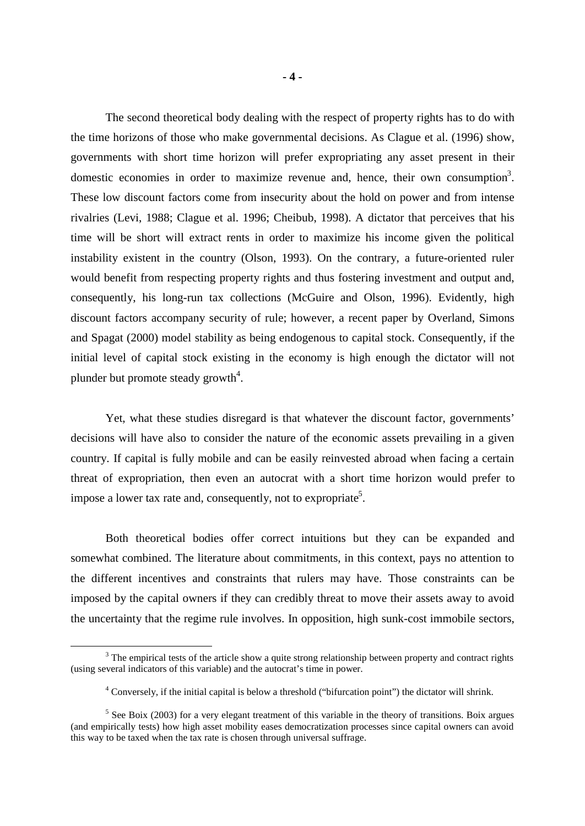The second theoretical body dealing with the respect of property rights has to do with the time horizons of those who make governmental decisions. As Clague et al. (1996) show, governments with short time horizon will prefer expropriating any asset present in their domestic economies in order to maximize revenue and, hence, their own consumption<sup>3</sup>. These low discount factors come from insecurity about the hold on power and from intense rivalries (Levi, 1988; Clague et al. 1996; Cheibub, 1998). A dictator that perceives that his time will be short will extract rents in order to maximize his income given the political instability existent in the country (Olson, 1993). On the contrary, a future-oriented ruler would benefit from respecting property rights and thus fostering investment and output and, consequently, his long-run tax collections (McGuire and Olson, 1996). Evidently, high discount factors accompany security of rule; however, a recent paper by Overland, Simons and Spagat (2000) model stability as being endogenous to capital stock. Consequently, if the initial level of capital stock existing in the economy is high enough the dictator will not plunder but promote steady growth<sup>4</sup>.

Yet, what these studies disregard is that whatever the discount factor, governments' decisions will have also to consider the nature of the economic assets prevailing in a given country. If capital is fully mobile and can be easily reinvested abroad when facing a certain threat of expropriation, then even an autocrat with a short time horizon would prefer to impose a lower tax rate and, consequently, not to expropriate<sup>5</sup>.

Both theoretical bodies offer correct intuitions but they can be expanded and somewhat combined. The literature about commitments, in this context, pays no attention to the different incentives and constraints that rulers may have. Those constraints can be imposed by the capital owners if they can credibly threat to move their assets away to avoid the uncertainty that the regime rule involves. In opposition, high sunk-cost immobile sectors,

 $3$  The empirical tests of the article show a quite strong relationship between property and contract rights (using several indicators of this variable) and the autocrat's time in power.

<sup>&</sup>lt;sup>4</sup> Conversely, if the initial capital is below a threshold ("bifurcation point") the dictator will shrink.

 $<sup>5</sup>$  See Boix (2003) for a very elegant treatment of this variable in the theory of transitions. Boix argues</sup> (and empirically tests) how high asset mobility eases democratization processes since capital owners can avoid this way to be taxed when the tax rate is chosen through universal suffrage.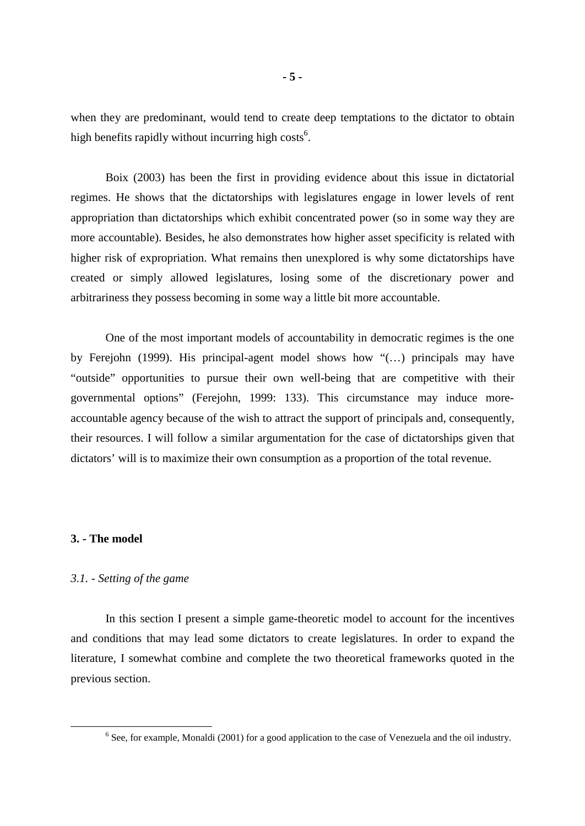when they are predominant, would tend to create deep temptations to the dictator to obtain high benefits rapidly without incurring high costs<sup>6</sup>.

Boix (2003) has been the first in providing evidence about this issue in dictatorial regimes. He shows that the dictatorships with legislatures engage in lower levels of rent appropriation than dictatorships which exhibit concentrated power (so in some way they are more accountable). Besides, he also demonstrates how higher asset specificity is related with higher risk of expropriation. What remains then unexplored is why some dictatorships have created or simply allowed legislatures, losing some of the discretionary power and arbitrariness they possess becoming in some way a little bit more accountable.

One of the most important models of accountability in democratic regimes is the one by Ferejohn (1999). His principal-agent model shows how "(…) principals may have "outside" opportunities to pursue their own well-being that are competitive with their governmental options" (Ferejohn, 1999: 133). This circumstance may induce moreaccountable agency because of the wish to attract the support of principals and, consequently, their resources. I will follow a similar argumentation for the case of dictatorships given that dictators' will is to maximize their own consumption as a proportion of the total revenue.

### **3. - The model**

 $\overline{a}$ 

## *3.1. - Setting of the game*

In this section I present a simple game-theoretic model to account for the incentives and conditions that may lead some dictators to create legislatures. In order to expand the literature, I somewhat combine and complete the two theoretical frameworks quoted in the previous section.

 $6$  See, for example, Monaldi (2001) for a good application to the case of Venezuela and the oil industry.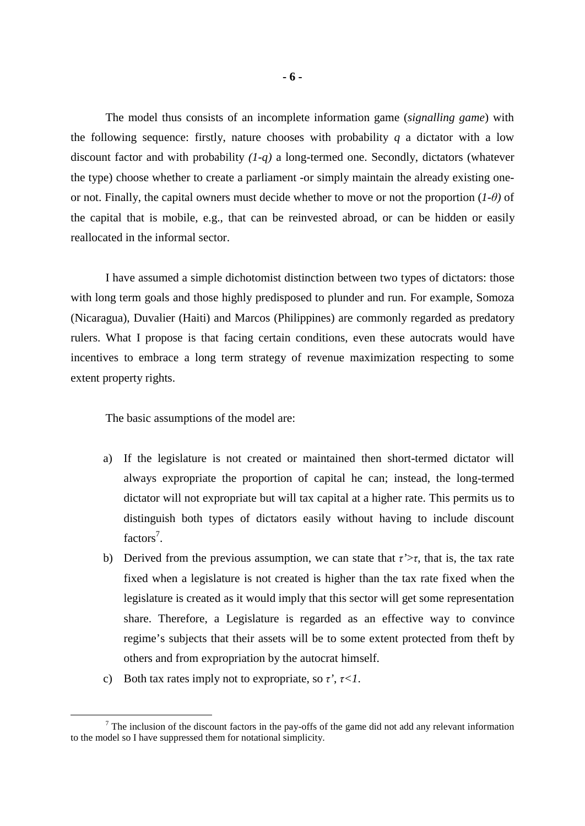The model thus consists of an incomplete information game (*signalling game*) with the following sequence: firstly, nature chooses with probability  $q$  a dictator with a low discount factor and with probability *(1-q)* a long-termed one. Secondly, dictators (whatever the type) choose whether to create a parliament -or simply maintain the already existing oneor not. Finally, the capital owners must decide whether to move or not the proportion (*1-θ)* of the capital that is mobile, e.g., that can be reinvested abroad, or can be hidden or easily reallocated in the informal sector.

I have assumed a simple dichotomist distinction between two types of dictators: those with long term goals and those highly predisposed to plunder and run. For example, Somoza (Nicaragua), Duvalier (Haiti) and Marcos (Philippines) are commonly regarded as predatory rulers. What I propose is that facing certain conditions, even these autocrats would have incentives to embrace a long term strategy of revenue maximization respecting to some extent property rights.

The basic assumptions of the model are:

- a) If the legislature is not created or maintained then short-termed dictator will always expropriate the proportion of capital he can; instead, the long-termed dictator will not expropriate but will tax capital at a higher rate. This permits us to distinguish both types of dictators easily without having to include discount factors<sup>7</sup>.
- b) Derived from the previous assumption, we can state that  $\tau$ '> $\tau$ , that is, the tax rate fixed when a legislature is not created is higher than the tax rate fixed when the legislature is created as it would imply that this sector will get some representation share. Therefore, a Legislature is regarded as an effective way to convince regime's subjects that their assets will be to some extent protected from theft by others and from expropriation by the autocrat himself.
- c) Both tax rates imply not to expropriate, so *τ'*, *τ<1*.

 $<sup>7</sup>$  The inclusion of the discount factors in the pay-offs of the game did not add any relevant information</sup> to the model so I have suppressed them for notational simplicity.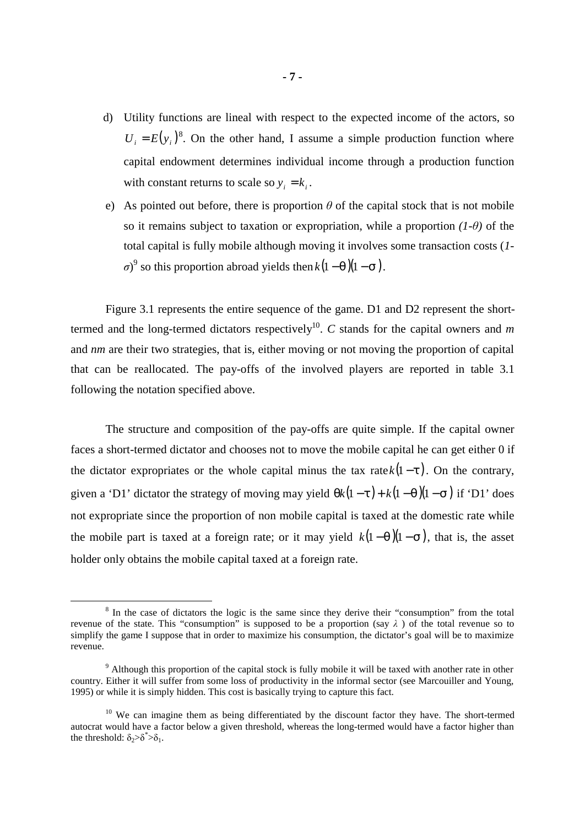- d) Utility functions are lineal with respect to the expected income of the actors, so  $U_i = E(y_i)^8$ . On the other hand, I assume a simple production function where capital endowment determines individual income through a production function with constant returns to scale so  $y_i = k_i$ .
- e) As pointed out before, there is proportion  $\theta$  of the capital stock that is not mobile so it remains subject to taxation or expropriation, while a proportion *(1-θ)* of the total capital is fully mobile although moving it involves some transaction costs (*1-*  $\sigma$ <sup>9</sup> so this proportion abroad yields then  $k(1 - q)(1 - s)$ .

Figure 3.1 represents the entire sequence of the game. D1 and D2 represent the shorttermed and the long-termed dictators respectively<sup>10</sup>. C stands for the capital owners and  $m$ and *nm* are their two strategies, that is, either moving or not moving the proportion of capital that can be reallocated. The pay-offs of the involved players are reported in table 3.1 following the notation specified above.

The structure and composition of the pay-offs are quite simple. If the capital owner faces a short-termed dictator and chooses not to move the mobile capital he can get either 0 if the dictator expropriates or the whole capital minus the tax rate $k(1-t)$ . On the contrary, given a 'D1' dictator the strategy of moving may yield  $q_k(1-t) + k(1-q)(1-s)$  if 'D1' does not expropriate since the proportion of non mobile capital is taxed at the domestic rate while the mobile part is taxed at a foreign rate; or it may yield  $k(1 - q)(1 - s)$ , that is, the asset holder only obtains the mobile capital taxed at a foreign rate.

 $8$  In the case of dictators the logic is the same since they derive their "consumption" from the total revenue of the state. This "consumption" is supposed to be a proportion (say  $\lambda$ ) of the total revenue so to simplify the game I suppose that in order to maximize his consumption, the dictator's goal will be to maximize revenue.

<sup>&</sup>lt;sup>9</sup> Although this proportion of the capital stock is fully mobile it will be taxed with another rate in other country. Either it will suffer from some loss of productivity in the informal sector (see Marcouiller and Young, 1995) or while it is simply hidden. This cost is basically trying to capture this fact.

<sup>&</sup>lt;sup>10</sup> We can imagine them as being differentiated by the discount factor they have. The short-termed autocrat would have a factor below a given threshold, whereas the long-termed would have a factor higher than the threshold:  $\delta_2 > \delta^* > \delta_1$ .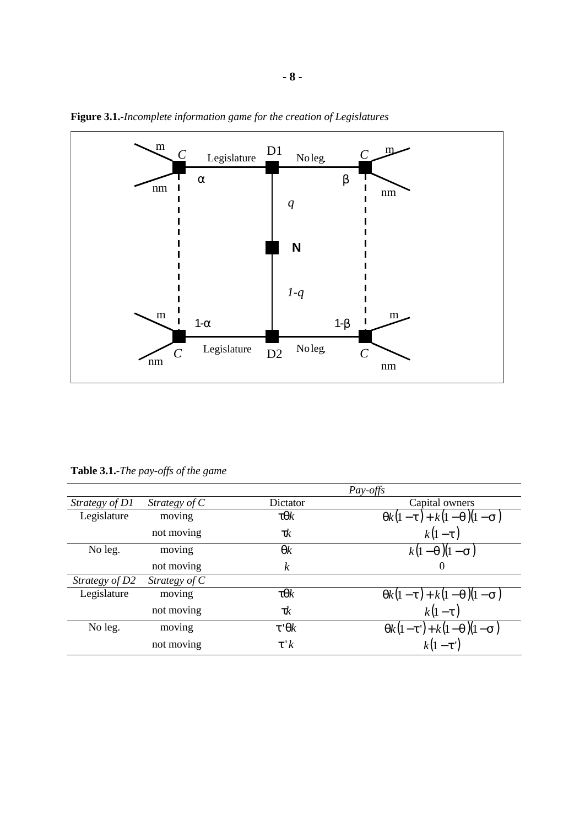

**Figure 3.1.-***Incomplete information game for the creation of Legislatures*

**Table 3.1.-***The pay-offs of the game*

|                |                 |                  | Pay-offs                |  |
|----------------|-----------------|------------------|-------------------------|--|
| Strategy of D1 | Strategy of $C$ | Dictator         | Capital owners          |  |
| Legislature    | moving          | tqk              | $qk(1-t) + k(1-q)(1-s)$ |  |
|                | not moving      | tk               | $k(1-t)$                |  |
| No leg.        | moving          | qk               | $k(1-q)(1-s)$           |  |
|                | not moving      | $\boldsymbol{k}$ | $\theta$                |  |
| Strategy of D2 | Strategy of $C$ |                  |                         |  |
| Legislature    | moving          | tqk              | $qk(1-t) + k(1-q)(1-s)$ |  |
|                | not moving      | tk               | $k(1-t)$                |  |
| No leg.        | moving          | $t'$ q $k$       | $qk(1-t')+k(1-q)(1-s)$  |  |
|                | not moving      | t'k              | $k(1-t')$               |  |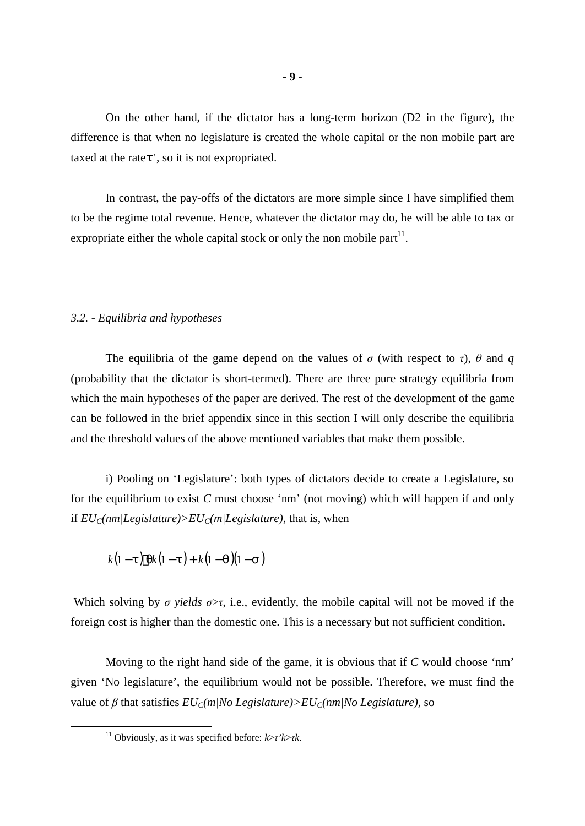On the other hand, if the dictator has a long-term horizon (D2 in the figure), the difference is that when no legislature is created the whole capital or the non mobile part are taxed at the rate*t* ', so it is not expropriated.

In contrast, the pay-offs of the dictators are more simple since I have simplified them to be the regime total revenue. Hence, whatever the dictator may do, he will be able to tax or expropriate either the whole capital stock or only the non mobile part $1$ <sup>1</sup>.

#### *3.2. - Equilibria and hypotheses*

The equilibria of the game depend on the values of  $\sigma$  (with respect to  $\tau$ ),  $\theta$  and  $q$ (probability that the dictator is short-termed). There are three pure strategy equilibria from which the main hypotheses of the paper are derived. The rest of the development of the game can be followed in the brief appendix since in this section I will only describe the equilibria and the threshold values of the above mentioned variables that make them possible.

i) Pooling on 'Legislature': both types of dictators decide to create a Legislature, so for the equilibrium to exist *C* must choose 'nm' (not moving) which will happen if and only if  $EU_C(nm/Legislature) > EU_C(m/Legislature)$ , that is, when

$$
k(1-t)qk(1-t)+k(1-q)(1-s)
$$

Which solving by  $\sigma$  *yields*  $\sigma > \tau$ , i.e., evidently, the mobile capital will not be moved if the foreign cost is higher than the domestic one. This is a necessary but not sufficient condition.

Moving to the right hand side of the game, it is obvious that if *C* would choose 'nm' given 'No legislature', the equilibrium would not be possible. Therefore, we must find the value of *β* that satisfies *EUC(m|No Legislature)>EUC(nm|No Legislature)*, so

<sup>11</sup> Obviously, as it was specified before: *k*>*τ'k*>*τk*.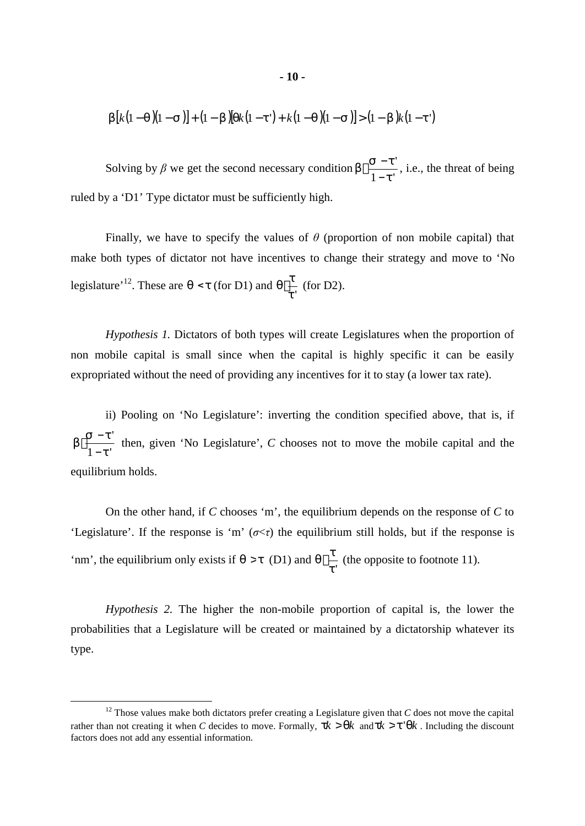$$
b[k(1-q)(1-s)] + (1-b)[qk(1-t') + k(1-q)(1-s)] > (1-b)k(1-t')
$$

Solving by  $\beta$  we get the second necessary condition  $1-t$  $\frac{t'}{t'}$  $b\rangle \frac{s-t}{s}$ −  $\left\langle \frac{s-t'}{s} \right\rangle$ , i.e., the threat of being ruled by a 'D1' Type dictator must be sufficiently high.

Finally, we have to specify the values of  $\theta$  (proportion of non mobile capital) that make both types of dictator not have incentives to change their strategy and move to 'No legislature<sup>'12</sup>. These are  $q < t$  (for D1) and *t* '  $q\langle \frac{t}{q} \rangle$  (for D2).

*Hypothesis 1.* Dictators of both types will create Legislatures when the proportion of non mobile capital is small since when the capital is highly specific it can be easily expropriated without the need of providing any incentives for it to stay (a lower tax rate).

ii) Pooling on 'No Legislature': inverting the condition specified above, that is, if  $1-t$  $\frac{t'}{t'}$  $b\left\langle \frac{s-t}{t} \right\rangle$ −  $\left\langle \frac{s-t'}{s-t} \right\rangle$  then, given 'No Legislature', *C* chooses not to move the mobile capital and the equilibrium holds.

On the other hand, if *C* chooses 'm', the equilibrium depends on the response of *C* to 'Legislature'. If the response is 'm'  $(\sigma \lt \tau)$  the equilibrium still holds, but if the response is 'nm', the equilibrium only exists if  $q > t$  (D1) and *t* '  $q \frac{t}{q}$  (the opposite to footnote 11).

*Hypothesis 2.* The higher the non-mobile proportion of capital is, the lower the probabilities that a Legislature will be created or maintained by a dictatorship whatever its type.

<sup>&</sup>lt;sup>12</sup> Those values make both dictators prefer creating a Legislature given that *C* does not move the capital rather than not creating it when *C* decides to move. Formally,  $tk > qk$  and  $tk > t'qk$ . Including the discount factors does not add any essential information.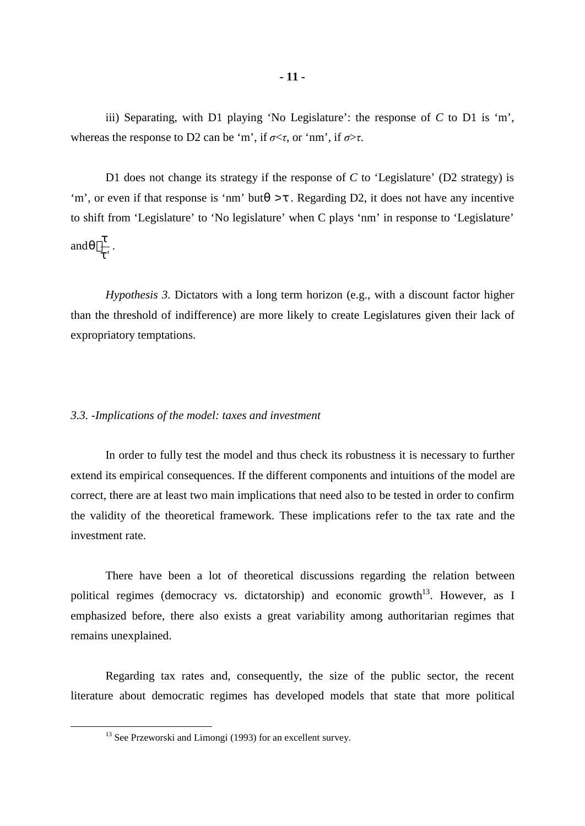iii) Separating, with D1 playing 'No Legislature': the response of *C* to D1 is 'm', whereas the response to D2 can be 'm', if  $\sigma \lt \tau$ , or 'nm', if  $\sigma \gt \tau$ .

D1 does not change its strategy if the response of *C* to 'Legislature' (D2 strategy) is 'm', or even if that response is 'nm' but $q > t$ . Regarding D2, it does not have any incentive to shift from 'Legislature' to 'No legislature' when C plays 'nm' in response to 'Legislature' and *t* '  $q\langle \frac{t}{\cdot} \rangle$ .

*Hypothesis 3.* Dictators with a long term horizon (e.g., with a discount factor higher than the threshold of indifference) are more likely to create Legislatures given their lack of expropriatory temptations.

## *3.3. -Implications of the model: taxes and investment*

In order to fully test the model and thus check its robustness it is necessary to further extend its empirical consequences. If the different components and intuitions of the model are correct, there are at least two main implications that need also to be tested in order to confirm the validity of the theoretical framework. These implications refer to the tax rate and the investment rate.

There have been a lot of theoretical discussions regarding the relation between political regimes (democracy vs. dictatorship) and economic growth<sup>13</sup>. However, as I emphasized before, there also exists a great variability among authoritarian regimes that remains unexplained.

Regarding tax rates and, consequently, the size of the public sector, the recent literature about democratic regimes has developed models that state that more political

<sup>&</sup>lt;sup>13</sup> See Przeworski and Limongi (1993) for an excellent survey.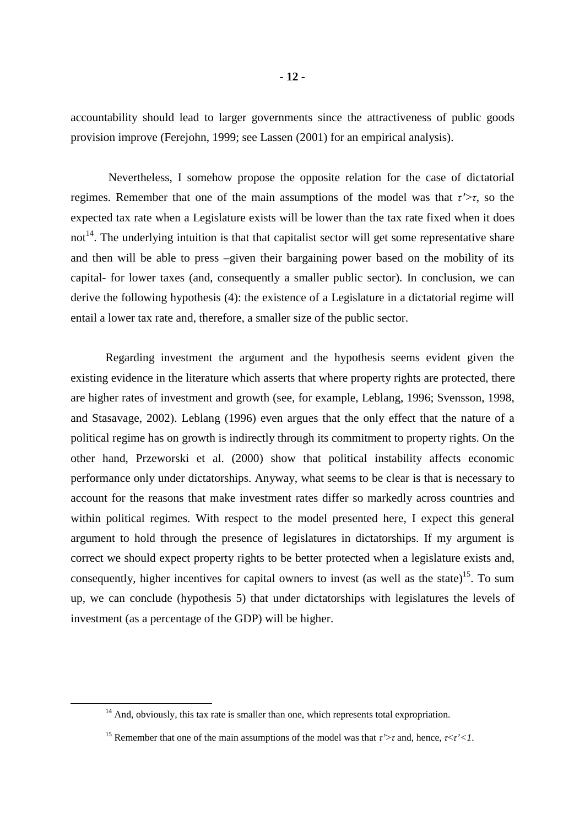accountability should lead to larger governments since the attractiveness of public goods provision improve (Ferejohn, 1999; see Lassen (2001) for an empirical analysis).

 Nevertheless, I somehow propose the opposite relation for the case of dictatorial regimes. Remember that one of the main assumptions of the model was that *τ'*>*τ*, so the expected tax rate when a Legislature exists will be lower than the tax rate fixed when it does not<sup>14</sup>. The underlying intuition is that that capitalist sector will get some representative share and then will be able to press –given their bargaining power based on the mobility of its capital- for lower taxes (and, consequently a smaller public sector). In conclusion, we can derive the following hypothesis (4): the existence of a Legislature in a dictatorial regime will entail a lower tax rate and, therefore, a smaller size of the public sector.

Regarding investment the argument and the hypothesis seems evident given the existing evidence in the literature which asserts that where property rights are protected, there are higher rates of investment and growth (see, for example, Leblang, 1996; Svensson, 1998, and Stasavage, 2002). Leblang (1996) even argues that the only effect that the nature of a political regime has on growth is indirectly through its commitment to property rights. On the other hand, Przeworski et al. (2000) show that political instability affects economic performance only under dictatorships. Anyway, what seems to be clear is that is necessary to account for the reasons that make investment rates differ so markedly across countries and within political regimes. With respect to the model presented here, I expect this general argument to hold through the presence of legislatures in dictatorships. If my argument is correct we should expect property rights to be better protected when a legislature exists and, consequently, higher incentives for capital owners to invest (as well as the state)<sup>15</sup>. To sum up, we can conclude (hypothesis 5) that under dictatorships with legislatures the levels of investment (as a percentage of the GDP) will be higher.

 $14$  And, obviously, this tax rate is smaller than one, which represents total expropriation.

<sup>15</sup> Remember that one of the main assumptions of the model was that *τ'*>*τ* and, hence, *τ*<*τ'<1*.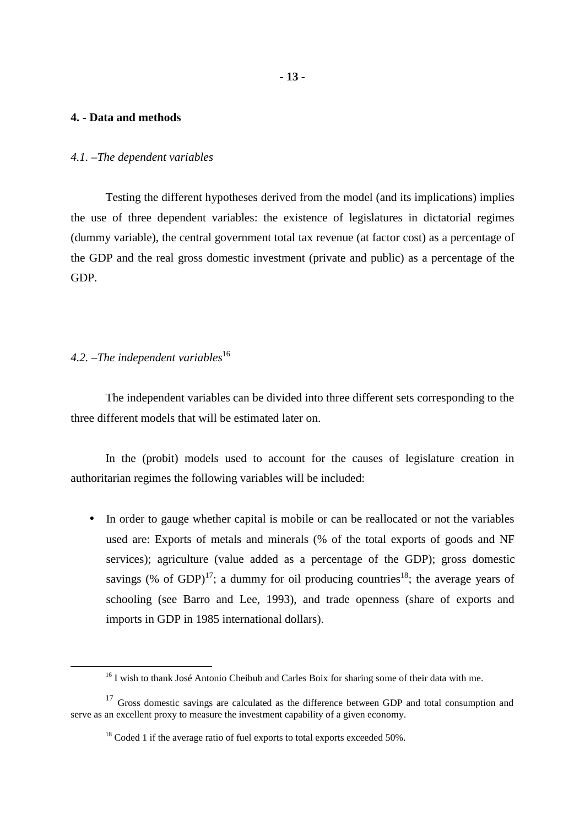## **4. - Data and methods**

#### *4.1. –The dependent variables*

Testing the different hypotheses derived from the model (and its implications) implies the use of three dependent variables: the existence of legislatures in dictatorial regimes (dummy variable), the central government total tax revenue (at factor cost) as a percentage of the GDP and the real gross domestic investment (private and public) as a percentage of the GDP.

# 4.2. –*The independent variables*<sup>16</sup>

 $\overline{a}$ 

The independent variables can be divided into three different sets corresponding to the three different models that will be estimated later on.

In the (probit) models used to account for the causes of legislature creation in authoritarian regimes the following variables will be included:

• In order to gauge whether capital is mobile or can be reallocated or not the variables used are: Exports of metals and minerals (% of the total exports of goods and NF services); agriculture (value added as a percentage of the GDP); gross domestic savings (% of GDP)<sup>17</sup>; a dummy for oil producing countries<sup>18</sup>; the average years of schooling (see Barro and Lee, 1993), and trade openness (share of exports and imports in GDP in 1985 international dollars).

<sup>&</sup>lt;sup>16</sup> I wish to thank José Antonio Cheibub and Carles Boix for sharing some of their data with me.

<sup>&</sup>lt;sup>17</sup> Gross domestic savings are calculated as the difference between GDP and total consumption and serve as an excellent proxy to measure the investment capability of a given economy.

 $18$  Coded 1 if the average ratio of fuel exports to total exports exceeded 50%.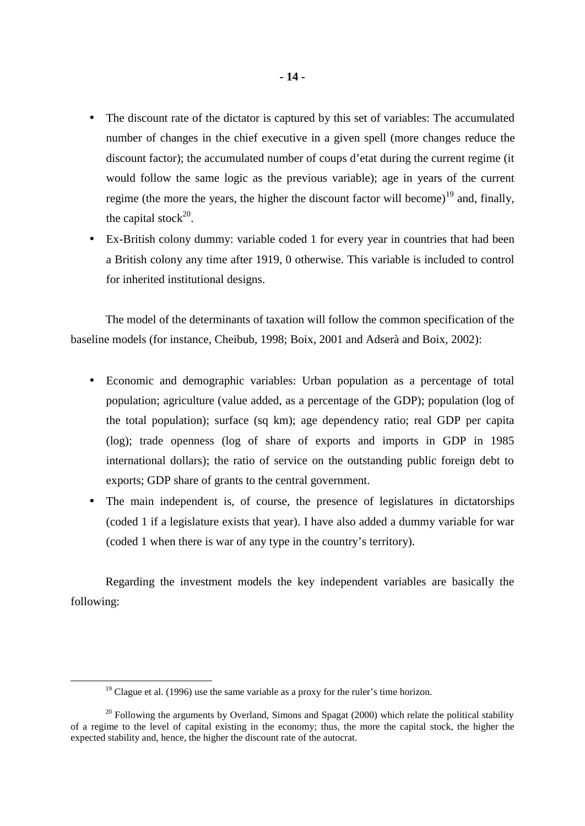- The discount rate of the dictator is captured by this set of variables: The accumulated number of changes in the chief executive in a given spell (more changes reduce the discount factor); the accumulated number of coups d'etat during the current regime (it would follow the same logic as the previous variable); age in years of the current regime (the more the years, the higher the discount factor will become)<sup>19</sup> and, finally, the capital stock $20$ .
- Ex-British colony dummy: variable coded 1 for every year in countries that had been a British colony any time after 1919, 0 otherwise. This variable is included to control for inherited institutional designs.

The model of the determinants of taxation will follow the common specification of the baseline models (for instance, Cheibub, 1998; Boix, 2001 and Adserà and Boix, 2002):

- Economic and demographic variables: Urban population as a percentage of total population; agriculture (value added, as a percentage of the GDP); population (log of the total population); surface (sq km); age dependency ratio; real GDP per capita (log); trade openness (log of share of exports and imports in GDP in 1985 international dollars); the ratio of service on the outstanding public foreign debt to exports; GDP share of grants to the central government.
- The main independent is, of course, the presence of legislatures in dictatorships (coded 1 if a legislature exists that year). I have also added a dummy variable for war (coded 1 when there is war of any type in the country's territory).

Regarding the investment models the key independent variables are basically the following:

 $19$  Clague et al. (1996) use the same variable as a proxy for the ruler's time horizon.

 $20$  Following the arguments by Overland, Simons and Spagat (2000) which relate the political stability of a regime to the level of capital existing in the economy; thus, the more the capital stock, the higher the expected stability and, hence, the higher the discount rate of the autocrat.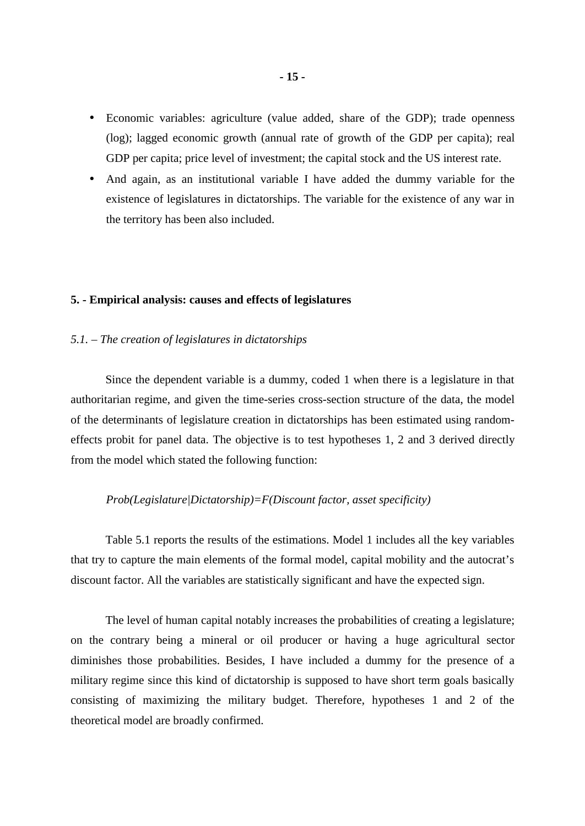- Economic variables: agriculture (value added, share of the GDP); trade openness (log); lagged economic growth (annual rate of growth of the GDP per capita); real GDP per capita; price level of investment; the capital stock and the US interest rate.
- And again, as an institutional variable I have added the dummy variable for the existence of legislatures in dictatorships. The variable for the existence of any war in the territory has been also included.

#### **5. - Empirical analysis: causes and effects of legislatures**

### *5.1. – The creation of legislatures in dictatorships*

Since the dependent variable is a dummy, coded 1 when there is a legislature in that authoritarian regime, and given the time-series cross-section structure of the data, the model of the determinants of legislature creation in dictatorships has been estimated using randomeffects probit for panel data. The objective is to test hypotheses 1, 2 and 3 derived directly from the model which stated the following function:

### *Prob(Legislature|Dictatorship)=F(Discount factor, asset specificity)*

Table 5.1 reports the results of the estimations. Model 1 includes all the key variables that try to capture the main elements of the formal model, capital mobility and the autocrat's discount factor. All the variables are statistically significant and have the expected sign.

The level of human capital notably increases the probabilities of creating a legislature; on the contrary being a mineral or oil producer or having a huge agricultural sector diminishes those probabilities. Besides, I have included a dummy for the presence of a military regime since this kind of dictatorship is supposed to have short term goals basically consisting of maximizing the military budget. Therefore, hypotheses 1 and 2 of the theoretical model are broadly confirmed.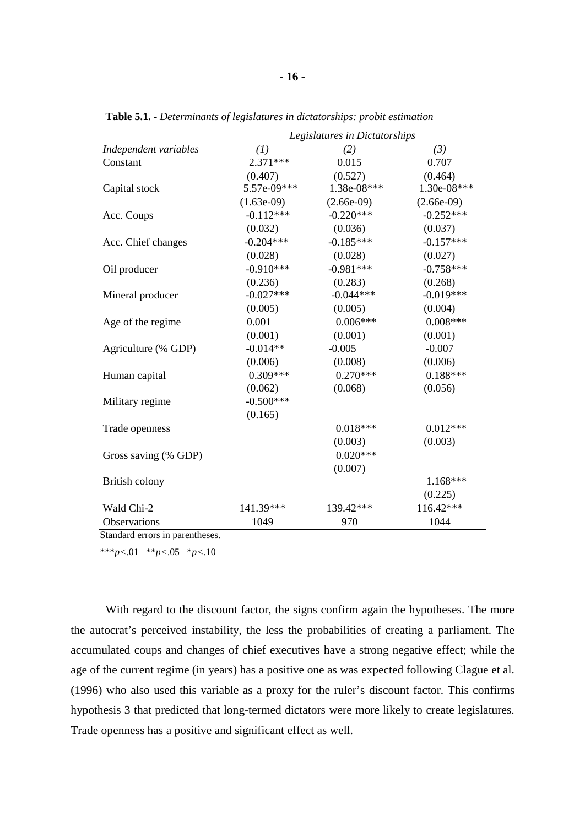|                       | Legislatures in Dictatorships |              |              |
|-----------------------|-------------------------------|--------------|--------------|
| Independent variables | (1)                           | (2)          | (3)          |
| Constant              | $2.371***$                    | 0.015        | 0.707        |
|                       | (0.407)                       | (0.527)      | (0.464)      |
| Capital stock         | 5.57e-09***                   | 1.38e-08***  | 1.30e-08***  |
|                       | $(1.63e-09)$                  | $(2.66e-09)$ | $(2.66e-09)$ |
| Acc. Coups            | $-0.112***$                   | $-0.220***$  | $-0.252***$  |
|                       | (0.032)                       | (0.036)      | (0.037)      |
| Acc. Chief changes    | $-0.204***$                   | $-0.185***$  | $-0.157***$  |
|                       | (0.028)                       | (0.028)      | (0.027)      |
| Oil producer          | $-0.910***$                   | $-0.981***$  | $-0.758***$  |
|                       | (0.236)                       | (0.283)      | (0.268)      |
| Mineral producer      | $-0.027***$                   | $-0.044***$  | $-0.019***$  |
|                       | (0.005)                       | (0.005)      | (0.004)      |
| Age of the regime     | 0.001                         | $0.006***$   | $0.008***$   |
|                       | (0.001)                       | (0.001)      | (0.001)      |
| Agriculture (% GDP)   | $-0.014**$                    | $-0.005$     | $-0.007$     |
|                       | (0.006)                       | (0.008)      | (0.006)      |
| Human capital         | $0.309***$                    | $0.270***$   | $0.188***$   |
|                       | (0.062)                       | (0.068)      | (0.056)      |
| Military regime       | $-0.500***$                   |              |              |
|                       | (0.165)                       |              |              |
| Trade openness        |                               | $0.018***$   | $0.012***$   |
|                       |                               | (0.003)      | (0.003)      |
| Gross saving (% GDP)  |                               | $0.020***$   |              |
|                       |                               | (0.007)      |              |
| British colony        |                               |              | $1.168***$   |
|                       |                               |              | (0.225)      |
| Wald Chi-2            | 141.39***                     | 139.42***    | 116.42***    |
| Observations          | 1049                          | 970          | 1044         |

**Table 5.1.** - *Determinants of legislatures in dictatorships: probit estimation* 

Standard errors in parentheses.

\*\*\**p*<.01 \*\**p*<.05 \**p*<.10

With regard to the discount factor, the signs confirm again the hypotheses. The more the autocrat's perceived instability, the less the probabilities of creating a parliament. The accumulated coups and changes of chief executives have a strong negative effect; while the age of the current regime (in years) has a positive one as was expected following Clague et al. (1996) who also used this variable as a proxy for the ruler's discount factor. This confirms hypothesis 3 that predicted that long-termed dictators were more likely to create legislatures. Trade openness has a positive and significant effect as well.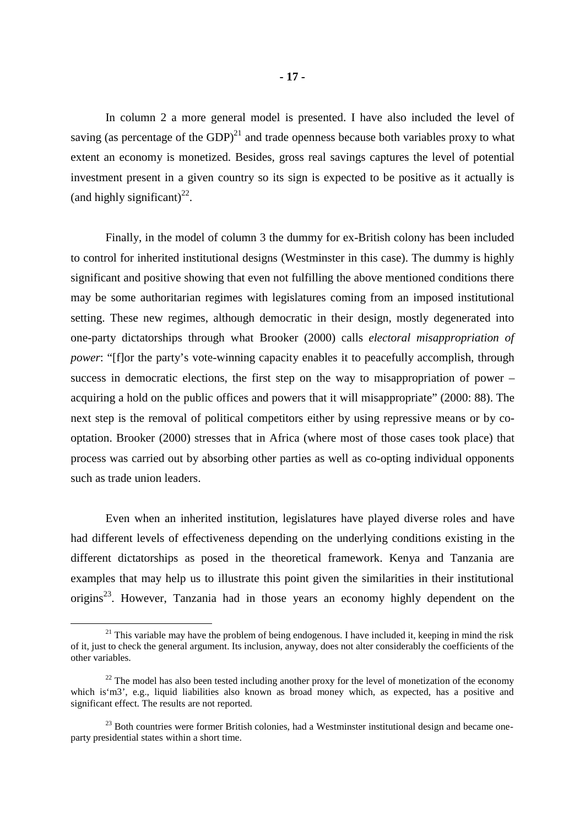In column 2 a more general model is presented. I have also included the level of saving (as percentage of the GDP)<sup>21</sup> and trade openness because both variables proxy to what extent an economy is monetized. Besides, gross real savings captures the level of potential investment present in a given country so its sign is expected to be positive as it actually is (and highly significant)<sup>22</sup>.

Finally, in the model of column 3 the dummy for ex-British colony has been included to control for inherited institutional designs (Westminster in this case). The dummy is highly significant and positive showing that even not fulfilling the above mentioned conditions there may be some authoritarian regimes with legislatures coming from an imposed institutional setting. These new regimes, although democratic in their design, mostly degenerated into one-party dictatorships through what Brooker (2000) calls *electoral misappropriation of power*: "[f]or the party's vote-winning capacity enables it to peacefully accomplish, through success in democratic elections, the first step on the way to misappropriation of power – acquiring a hold on the public offices and powers that it will misappropriate" (2000: 88). The next step is the removal of political competitors either by using repressive means or by cooptation. Brooker (2000) stresses that in Africa (where most of those cases took place) that process was carried out by absorbing other parties as well as co-opting individual opponents such as trade union leaders.

Even when an inherited institution, legislatures have played diverse roles and have had different levels of effectiveness depending on the underlying conditions existing in the different dictatorships as posed in the theoretical framework. Kenya and Tanzania are examples that may help us to illustrate this point given the similarities in their institutional origins<sup>23</sup>. However, Tanzania had in those years an economy highly dependent on the

 $21$  This variable may have the problem of being endogenous. I have included it, keeping in mind the risk of it, just to check the general argument. Its inclusion, anyway, does not alter considerably the coefficients of the other variables.

 $22$  The model has also been tested including another proxy for the level of monetization of the economy which is'm3', e.g., liquid liabilities also known as broad money which, as expected, has a positive and significant effect. The results are not reported.

 $^{23}$  Both countries were former British colonies, had a Westminster institutional design and became oneparty presidential states within a short time.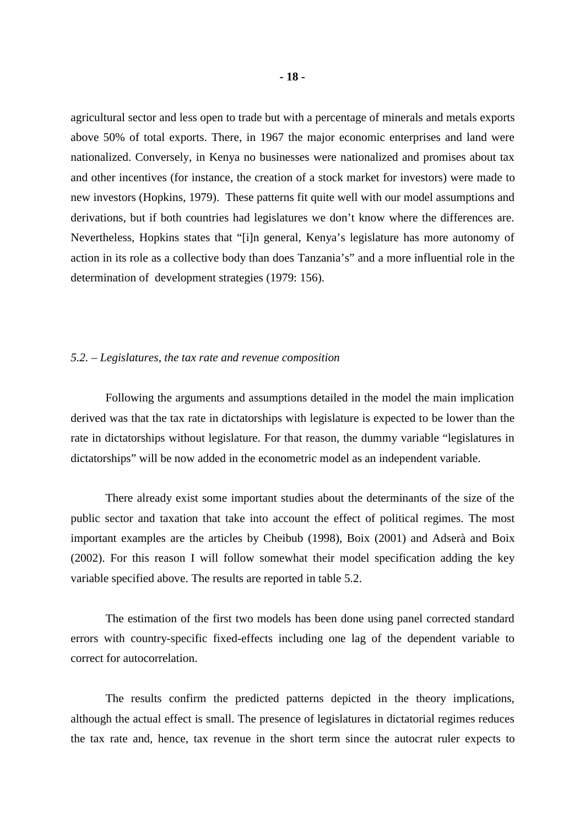agricultural sector and less open to trade but with a percentage of minerals and metals exports above 50% of total exports. There, in 1967 the major economic enterprises and land were nationalized. Conversely, in Kenya no businesses were nationalized and promises about tax and other incentives (for instance, the creation of a stock market for investors) were made to new investors (Hopkins, 1979). These patterns fit quite well with our model assumptions and derivations, but if both countries had legislatures we don't know where the differences are. Nevertheless, Hopkins states that "[i]n general, Kenya's legislature has more autonomy of action in its role as a collective body than does Tanzania's" and a more influential role in the determination of development strategies (1979: 156).

#### *5.2. – Legislatures, the tax rate and revenue composition*

Following the arguments and assumptions detailed in the model the main implication derived was that the tax rate in dictatorships with legislature is expected to be lower than the rate in dictatorships without legislature. For that reason, the dummy variable "legislatures in dictatorships" will be now added in the econometric model as an independent variable.

There already exist some important studies about the determinants of the size of the public sector and taxation that take into account the effect of political regimes. The most important examples are the articles by Cheibub (1998), Boix (2001) and Adserà and Boix (2002). For this reason I will follow somewhat their model specification adding the key variable specified above. The results are reported in table 5.2.

The estimation of the first two models has been done using panel corrected standard errors with country-specific fixed-effects including one lag of the dependent variable to correct for autocorrelation.

The results confirm the predicted patterns depicted in the theory implications, although the actual effect is small. The presence of legislatures in dictatorial regimes reduces the tax rate and, hence, tax revenue in the short term since the autocrat ruler expects to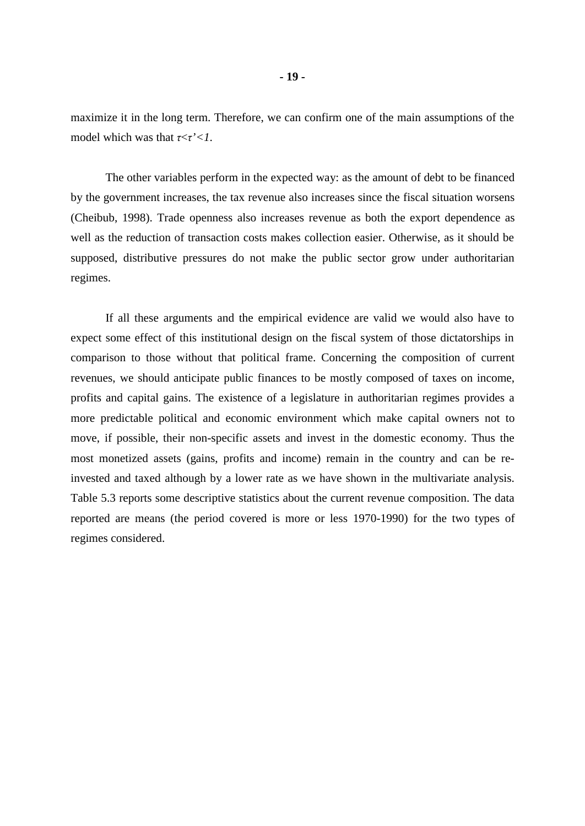maximize it in the long term. Therefore, we can confirm one of the main assumptions of the model which was that *τ*<*τ'<1*.

The other variables perform in the expected way: as the amount of debt to be financed by the government increases, the tax revenue also increases since the fiscal situation worsens (Cheibub, 1998). Trade openness also increases revenue as both the export dependence as well as the reduction of transaction costs makes collection easier. Otherwise, as it should be supposed, distributive pressures do not make the public sector grow under authoritarian regimes.

If all these arguments and the empirical evidence are valid we would also have to expect some effect of this institutional design on the fiscal system of those dictatorships in comparison to those without that political frame. Concerning the composition of current revenues, we should anticipate public finances to be mostly composed of taxes on income, profits and capital gains. The existence of a legislature in authoritarian regimes provides a more predictable political and economic environment which make capital owners not to move, if possible, their non-specific assets and invest in the domestic economy. Thus the most monetized assets (gains, profits and income) remain in the country and can be reinvested and taxed although by a lower rate as we have shown in the multivariate analysis. Table 5.3 reports some descriptive statistics about the current revenue composition. The data reported are means (the period covered is more or less 1970-1990) for the two types of regimes considered.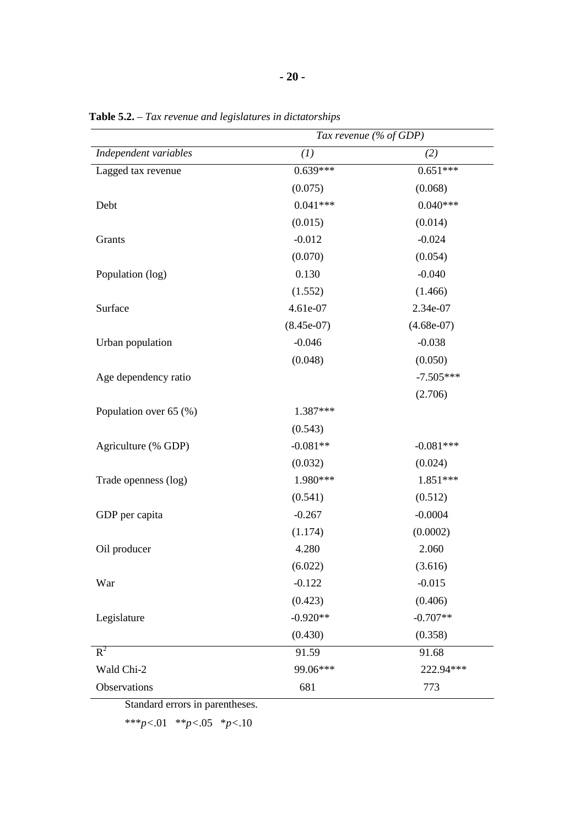|                        | Tax revenue (% of GDP) |              |
|------------------------|------------------------|--------------|
| Independent variables  | (1)                    | (2)          |
| Lagged tax revenue     | $0.639***$             | $0.651***$   |
|                        | (0.075)                | (0.068)      |
| Debt                   | $0.041***$             | $0.040***$   |
|                        | (0.015)                | (0.014)      |
| Grants                 | $-0.012$               | $-0.024$     |
|                        | (0.070)                | (0.054)      |
| Population (log)       | 0.130                  | $-0.040$     |
|                        | (1.552)                | (1.466)      |
| Surface                | 4.61e-07               | 2.34e-07     |
|                        | $(8.45e-07)$           | $(4.68e-07)$ |
| Urban population       | $-0.046$               | $-0.038$     |
|                        | (0.048)                | (0.050)      |
| Age dependency ratio   |                        | $-7.505***$  |
|                        |                        | (2.706)      |
| Population over 65 (%) | 1.387***               |              |
|                        | (0.543)                |              |
| Agriculture (% GDP)    | $-0.081**$             | $-0.081***$  |
|                        | (0.032)                | (0.024)      |
| Trade openness (log)   | 1.980***               | 1.851 ***    |
|                        | (0.541)                | (0.512)      |
| GDP per capita         | $-0.267$               | $-0.0004$    |
|                        | (1.174)                | (0.0002)     |
| Oil producer           | 4.280                  | 2.060        |
|                        | (6.022)                | (3.616)      |
| War                    | $-0.122$               | $-0.015$     |
|                        | (0.423)                | (0.406)      |
| Legislature            | $-0.920**$             | $-0.707**$   |
|                        | (0.430)                | (0.358)      |
| $R^2$                  | 91.59                  | 91.68        |
| Wald Chi-2             | 99.06***               | 222.94***    |
| Observations           | 681                    | 773          |

**Table 5.2.** – *Tax revenue and legislatures in dictatorships* 

Standard errors in parentheses.

\*\*\**p<*.01 \*\**p<*.05 \**p<*.10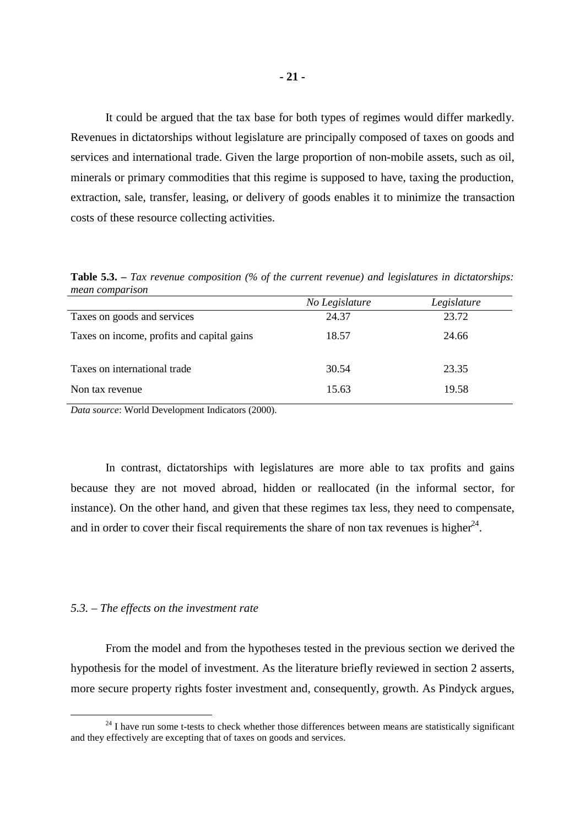It could be argued that the tax base for both types of regimes would differ markedly. Revenues in dictatorships without legislature are principally composed of taxes on goods and services and international trade. Given the large proportion of non-mobile assets, such as oil, minerals or primary commodities that this regime is supposed to have, taxing the production, extraction, sale, transfer, leasing, or delivery of goods enables it to minimize the transaction costs of these resource collecting activities.

**Table 5.3. –** *Tax revenue composition (% of the current revenue) and legislatures in dictatorships: mean comparison* 

|                                            | No Legislature | Legislature |
|--------------------------------------------|----------------|-------------|
| Taxes on goods and services                | 24.37          | 23.72       |
| Taxes on income, profits and capital gains | 18.57          | 24.66       |
| Taxes on international trade               | 30.54          | 23.35       |
| Non tax revenue                            | 15.63          | 19.58       |

*Data source*: World Development Indicators (2000).

In contrast, dictatorships with legislatures are more able to tax profits and gains because they are not moved abroad, hidden or reallocated (in the informal sector, for instance). On the other hand, and given that these regimes tax less, they need to compensate, and in order to cover their fiscal requirements the share of non tax revenues is higher<sup>24</sup>.

### *5.3. – The effects on the investment rate*

 $\overline{a}$ 

From the model and from the hypotheses tested in the previous section we derived the hypothesis for the model of investment. As the literature briefly reviewed in section 2 asserts, more secure property rights foster investment and, consequently, growth. As Pindyck argues,

 $^{24}$  I have run some t-tests to check whether those differences between means are statistically significant and they effectively are excepting that of taxes on goods and services.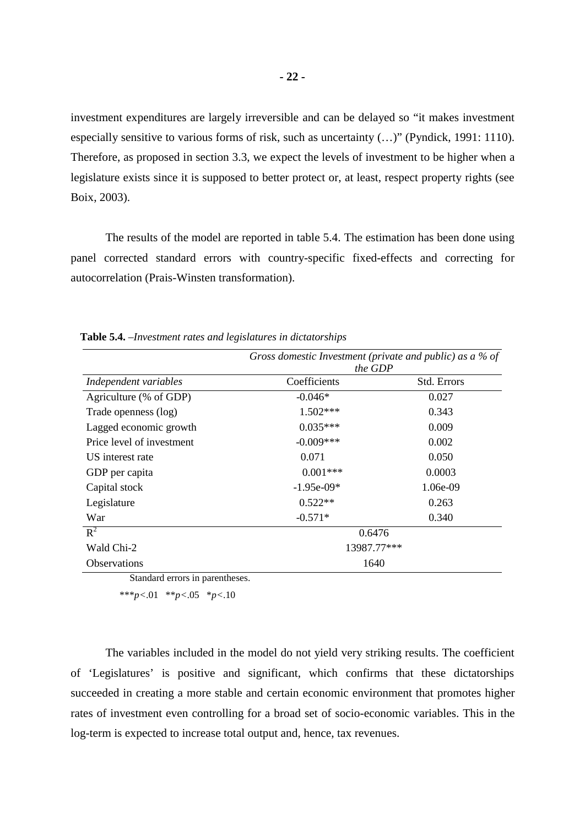investment expenditures are largely irreversible and can be delayed so "it makes investment especially sensitive to various forms of risk, such as uncertainty (…)" (Pyndick, 1991: 1110). Therefore, as proposed in section 3.3, we expect the levels of investment to be higher when a legislature exists since it is supposed to better protect or, at least, respect property rights (see Boix, 2003).

The results of the model are reported in table 5.4. The estimation has been done using panel corrected standard errors with country-specific fixed-effects and correcting for autocorrelation (Prais-Winsten transformation).

|                           | Gross domestic Investment (private and public) as a % of<br>the GDP |             |  |
|---------------------------|---------------------------------------------------------------------|-------------|--|
| Independent variables     | Coefficients                                                        | Std. Errors |  |
| Agriculture (% of GDP)    | $-0.046*$                                                           | 0.027       |  |
| Trade openness (log)      | $1.502***$                                                          | 0.343       |  |
| Lagged economic growth    | $0.035***$                                                          | 0.009       |  |
| Price level of investment | $-0.009***$                                                         | 0.002       |  |
| US interest rate          | 0.071                                                               | 0.050       |  |
| GDP per capita            | $0.001***$                                                          | 0.0003      |  |
| Capital stock             | $-1.95e-09*$                                                        | 1.06e-09    |  |
| Legislature               | $0.522**$                                                           | 0.263       |  |
| War                       | $-0.571*$                                                           | 0.340       |  |
| $R^2$                     | 0.6476                                                              |             |  |
| Wald Chi-2                | 13987.77***                                                         |             |  |
| <b>Observations</b>       | 1640                                                                |             |  |

**Table 5.4.** –*Investment rates and legislatures in dictatorships*

Standard errors in parentheses.

\*\*\**p<*.01 \*\**p<*.05 \**p<*.10

The variables included in the model do not yield very striking results. The coefficient of 'Legislatures' is positive and significant, which confirms that these dictatorships succeeded in creating a more stable and certain economic environment that promotes higher rates of investment even controlling for a broad set of socio-economic variables. This in the log-term is expected to increase total output and, hence, tax revenues.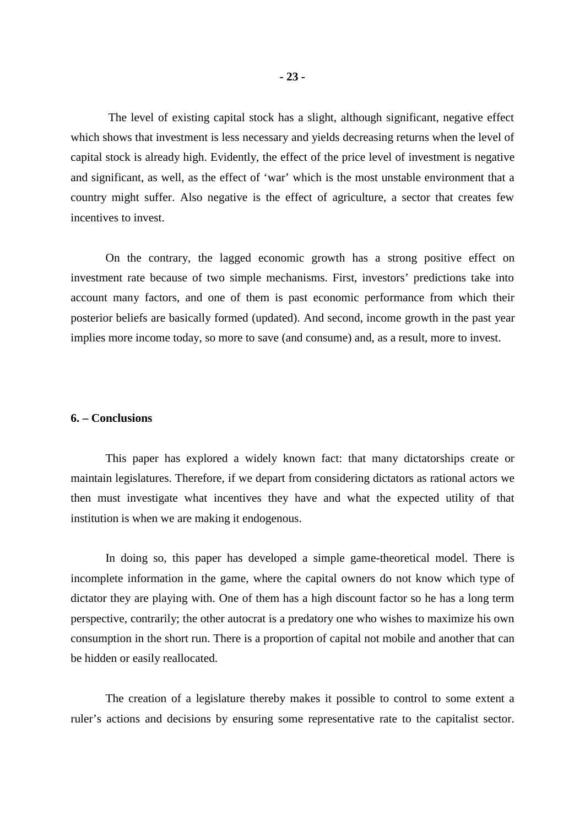The level of existing capital stock has a slight, although significant, negative effect which shows that investment is less necessary and yields decreasing returns when the level of capital stock is already high. Evidently, the effect of the price level of investment is negative and significant, as well, as the effect of 'war' which is the most unstable environment that a country might suffer. Also negative is the effect of agriculture, a sector that creates few incentives to invest.

On the contrary, the lagged economic growth has a strong positive effect on investment rate because of two simple mechanisms. First, investors' predictions take into account many factors, and one of them is past economic performance from which their posterior beliefs are basically formed (updated). And second, income growth in the past year implies more income today, so more to save (and consume) and, as a result, more to invest.

#### **6. – Conclusions**

This paper has explored a widely known fact: that many dictatorships create or maintain legislatures. Therefore, if we depart from considering dictators as rational actors we then must investigate what incentives they have and what the expected utility of that institution is when we are making it endogenous.

In doing so, this paper has developed a simple game-theoretical model. There is incomplete information in the game, where the capital owners do not know which type of dictator they are playing with. One of them has a high discount factor so he has a long term perspective, contrarily; the other autocrat is a predatory one who wishes to maximize his own consumption in the short run. There is a proportion of capital not mobile and another that can be hidden or easily reallocated.

The creation of a legislature thereby makes it possible to control to some extent a ruler's actions and decisions by ensuring some representative rate to the capitalist sector.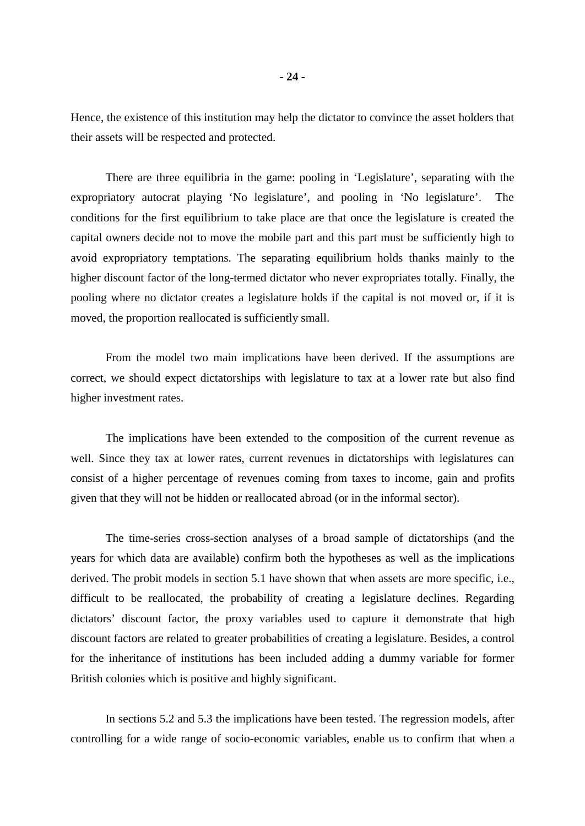Hence, the existence of this institution may help the dictator to convince the asset holders that their assets will be respected and protected.

There are three equilibria in the game: pooling in 'Legislature', separating with the expropriatory autocrat playing 'No legislature', and pooling in 'No legislature'. The conditions for the first equilibrium to take place are that once the legislature is created the capital owners decide not to move the mobile part and this part must be sufficiently high to avoid expropriatory temptations. The separating equilibrium holds thanks mainly to the higher discount factor of the long-termed dictator who never expropriates totally. Finally, the pooling where no dictator creates a legislature holds if the capital is not moved or, if it is moved, the proportion reallocated is sufficiently small.

From the model two main implications have been derived. If the assumptions are correct, we should expect dictatorships with legislature to tax at a lower rate but also find higher investment rates.

The implications have been extended to the composition of the current revenue as well. Since they tax at lower rates, current revenues in dictatorships with legislatures can consist of a higher percentage of revenues coming from taxes to income, gain and profits given that they will not be hidden or reallocated abroad (or in the informal sector).

The time-series cross-section analyses of a broad sample of dictatorships (and the years for which data are available) confirm both the hypotheses as well as the implications derived. The probit models in section 5.1 have shown that when assets are more specific, i.e., difficult to be reallocated, the probability of creating a legislature declines. Regarding dictators' discount factor, the proxy variables used to capture it demonstrate that high discount factors are related to greater probabilities of creating a legislature. Besides, a control for the inheritance of institutions has been included adding a dummy variable for former British colonies which is positive and highly significant.

In sections 5.2 and 5.3 the implications have been tested. The regression models, after controlling for a wide range of socio-economic variables, enable us to confirm that when a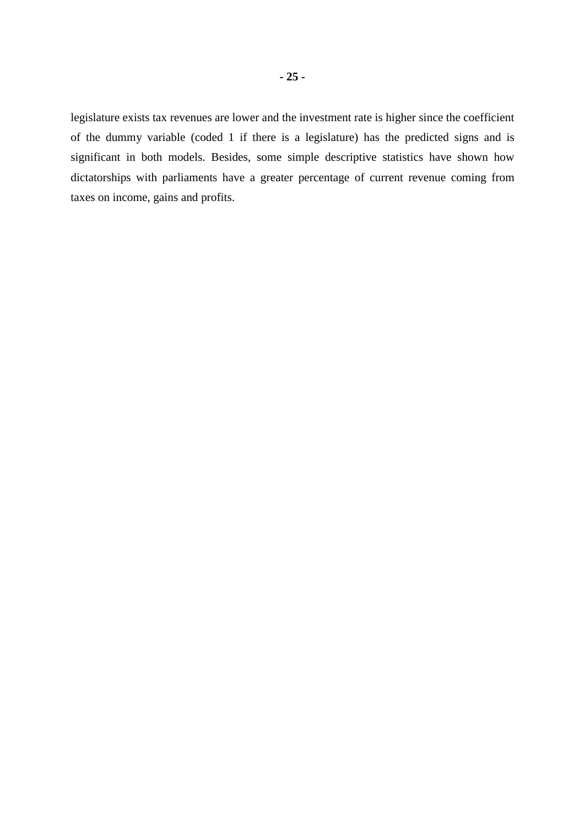legislature exists tax revenues are lower and the investment rate is higher since the coefficient of the dummy variable (coded 1 if there is a legislature) has the predicted signs and is significant in both models. Besides, some simple descriptive statistics have shown how dictatorships with parliaments have a greater percentage of current revenue coming from taxes on income, gains and profits.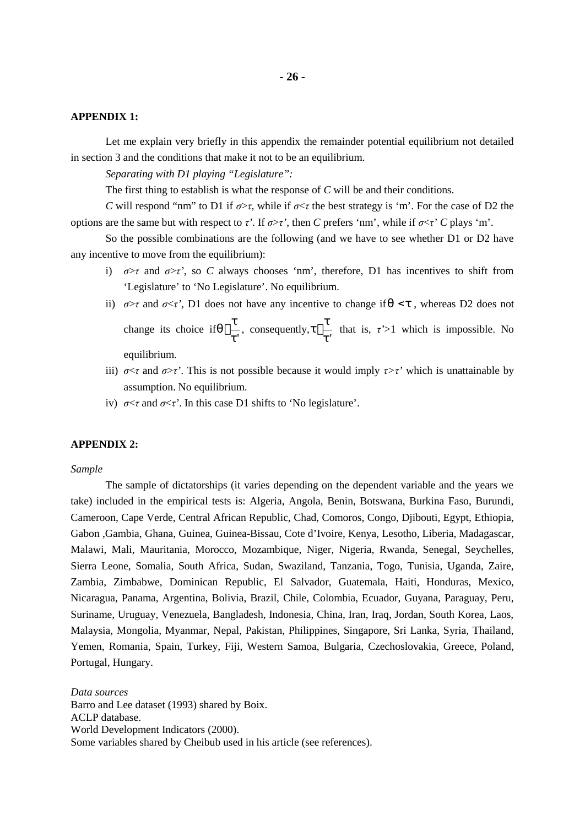#### **APPENDIX 1:**

Let me explain very briefly in this appendix the remainder potential equilibrium not detailed in section 3 and the conditions that make it not to be an equilibrium.

*Separating with D1 playing "Legislature":* 

The first thing to establish is what the response of *C* will be and their conditions.

*C* will respond "nm" to D1 if *σ*>*τ*, while if *σ*<*τ* the best strategy is 'm'. For the case of D2 the options are the same but with respect to *τ'*. If *σ*>*τ'*, then *C* prefers 'nm', while if *σ*<*τ' C* plays 'm'.

So the possible combinations are the following (and we have to see whether D1 or D2 have any incentive to move from the equilibrium):

- i)  $\sigma > \tau$  and  $\sigma > \tau'$ , so C always chooses 'nm', therefore, D1 has incentives to shift from 'Legislature' to 'No Legislature'. No equilibrium.
- ii)  $\sigma > \tau$  and  $\sigma < \tau'$ , D1 does not have any incentive to change if  $q < t$ , whereas D2 does not change its choice if *t* '  $q \rangle \frac{t}{q}$ , consequently, *t* '  $t \geq t$  that is,  $\tau > 1$  which is impossible. No equilibrium.
- iii)  $\sigma < \tau$  and  $\sigma > \tau'$ . This is not possible because it would imply  $\tau > \tau'$  which is unattainable by assumption. No equilibrium.
- iv)  $\sigma \lt \tau$  and  $\sigma \lt \tau'$ . In this case D1 shifts to 'No legislature'.

#### **APPENDIX 2:**

#### *Sample*

The sample of dictatorships (it varies depending on the dependent variable and the years we take) included in the empirical tests is: Algeria, Angola, Benin, Botswana, Burkina Faso, Burundi, Cameroon, Cape Verde, Central African Republic, Chad, Comoros, Congo, Djibouti, Egypt, Ethiopia, Gabon ,Gambia, Ghana, Guinea, Guinea-Bissau, Cote d'Ivoire, Kenya, Lesotho, Liberia, Madagascar, Malawi, Mali, Mauritania, Morocco, Mozambique, Niger, Nigeria, Rwanda, Senegal, Seychelles, Sierra Leone, Somalia, South Africa, Sudan, Swaziland, Tanzania, Togo, Tunisia, Uganda, Zaire, Zambia, Zimbabwe, Dominican Republic, El Salvador, Guatemala, Haiti, Honduras, Mexico, Nicaragua, Panama, Argentina, Bolivia, Brazil, Chile, Colombia, Ecuador, Guyana, Paraguay, Peru, Suriname, Uruguay, Venezuela, Bangladesh, Indonesia, China, Iran, Iraq, Jordan, South Korea, Laos, Malaysia, Mongolia, Myanmar, Nepal, Pakistan, Philippines, Singapore, Sri Lanka, Syria, Thailand, Yemen, Romania, Spain, Turkey, Fiji, Western Samoa, Bulgaria, Czechoslovakia, Greece, Poland, Portugal, Hungary.

*Data sources*  Barro and Lee dataset (1993) shared by Boix. ACLP database. World Development Indicators (2000). Some variables shared by Cheibub used in his article (see references).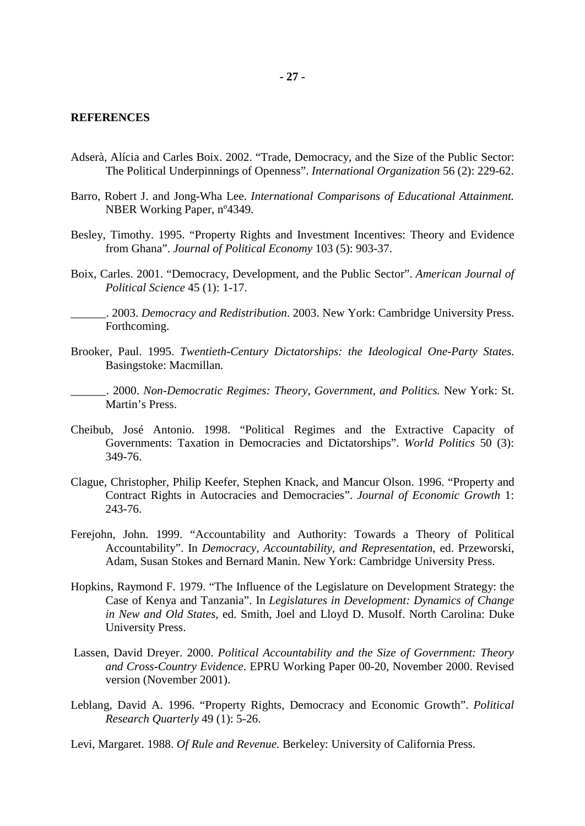#### **REFERENCES**

- Adserà, Alícia and Carles Boix. 2002. "Trade, Democracy, and the Size of the Public Sector: The Political Underpinnings of Openness". *International Organization* 56 (2): 229-62.
- Barro, Robert J. and Jong-Wha Lee. *International Comparisons of Educational Attainment.* NBER Working Paper, nº4349.
- Besley, Timothy. 1995. "Property Rights and Investment Incentives: Theory and Evidence from Ghana". *Journal of Political Economy* 103 (5): 903-37.
- Boix, Carles. 2001. "Democracy, Development, and the Public Sector". *American Journal of Political Science* 45 (1): 1-17.

\_\_\_\_\_\_. 2003. *Democracy and Redistribution*. 2003. New York: Cambridge University Press. Forthcoming.

Brooker, Paul. 1995. *Twentieth-Century Dictatorships: the Ideological One-Party States.* Basingstoke: Macmillan.

\_\_\_\_\_\_. 2000. *Non-Democratic Regimes: Theory, Government, and Politics.* New York: St. Martin's Press.

- Cheibub, José Antonio. 1998. "Political Regimes and the Extractive Capacity of Governments: Taxation in Democracies and Dictatorships". *World Politics* 50 (3): 349-76.
- Clague, Christopher, Philip Keefer, Stephen Knack, and Mancur Olson. 1996. "Property and Contract Rights in Autocracies and Democracies". *Journal of Economic Growth* 1: 243-76.
- Ferejohn, John. 1999. "Accountability and Authority: Towards a Theory of Political Accountability". In *Democracy, Accountability, and Representation*, ed. Przeworski, Adam, Susan Stokes and Bernard Manin. New York: Cambridge University Press.
- Hopkins, Raymond F. 1979. "The Influence of the Legislature on Development Strategy: the Case of Kenya and Tanzania". In *Legislatures in Development: Dynamics of Change in New and Old States*, ed. Smith, Joel and Lloyd D. Musolf. North Carolina: Duke University Press.
- Lassen, David Dreyer. 2000. *Political Accountability and the Size of Government: Theory and Cross-Country Evidence*. EPRU Working Paper 00-20, November 2000. Revised version (November 2001).
- Leblang, David A. 1996. "Property Rights, Democracy and Economic Growth". *Political Research Quarterly* 49 (1): 5-26.
- Levi, Margaret. 1988. *Of Rule and Revenue.* Berkeley: University of California Press.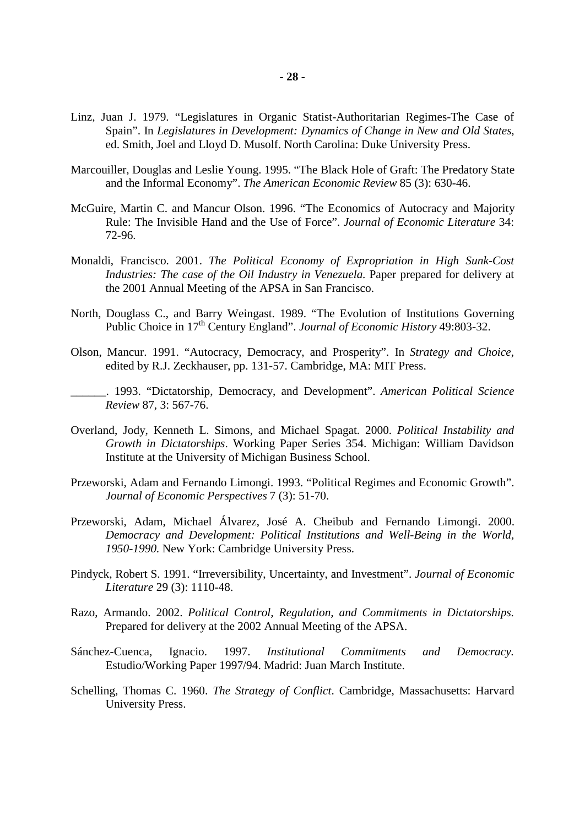- Linz, Juan J. 1979. "Legislatures in Organic Statist-Authoritarian Regimes-The Case of Spain". In *Legislatures in Development: Dynamics of Change in New and Old States*, ed. Smith, Joel and Lloyd D. Musolf. North Carolina: Duke University Press.
- Marcouiller, Douglas and Leslie Young. 1995. "The Black Hole of Graft: The Predatory State and the Informal Economy". *The American Economic Review* 85 (3): 630-46.
- McGuire, Martin C. and Mancur Olson. 1996. "The Economics of Autocracy and Majority Rule: The Invisible Hand and the Use of Force". *Journal of Economic Literature* 34: 72-96.
- Monaldi, Francisco. 2001. *The Political Economy of Expropriation in High Sunk-Cost Industries: The case of the Oil Industry in Venezuela.* Paper prepared for delivery at the 2001 Annual Meeting of the APSA in San Francisco.
- North, Douglass C., and Barry Weingast. 1989. "The Evolution of Institutions Governing Public Choice in 17<sup>th</sup> Century England". *Journal of Economic History* 49:803-32.
- Olson, Mancur. 1991. "Autocracy, Democracy, and Prosperity". In *Strategy and Choice*, edited by R.J. Zeckhauser, pp. 131-57. Cambridge, MA: MIT Press.
- \_\_\_\_\_\_. 1993. "Dictatorship, Democracy, and Development". *American Political Science Review* 87, 3: 567-76.
- Overland, Jody, Kenneth L. Simons, and Michael Spagat. 2000. *Political Instability and Growth in Dictatorships*. Working Paper Series 354. Michigan: William Davidson Institute at the University of Michigan Business School.
- Przeworski, Adam and Fernando Limongi. 1993. "Political Regimes and Economic Growth". *Journal of Economic Perspectives* 7 (3): 51-70.
- Przeworski, Adam, Michael Álvarez, José A. Cheibub and Fernando Limongi. 2000. *Democracy and Development: Political Institutions and Well-Being in the World, 1950-1990.* New York: Cambridge University Press.
- Pindyck, Robert S. 1991. "Irreversibility, Uncertainty, and Investment". *Journal of Economic Literature* 29 (3): 1110-48.
- Razo, Armando. 2002. *Political Control, Regulation, and Commitments in Dictatorships.* Prepared for delivery at the 2002 Annual Meeting of the APSA.
- Sánchez-Cuenca, Ignacio. 1997. *Institutional Commitments and Democracy.* Estudio/Working Paper 1997/94. Madrid: Juan March Institute.
- Schelling, Thomas C. 1960. *The Strategy of Conflict*. Cambridge, Massachusetts: Harvard University Press.